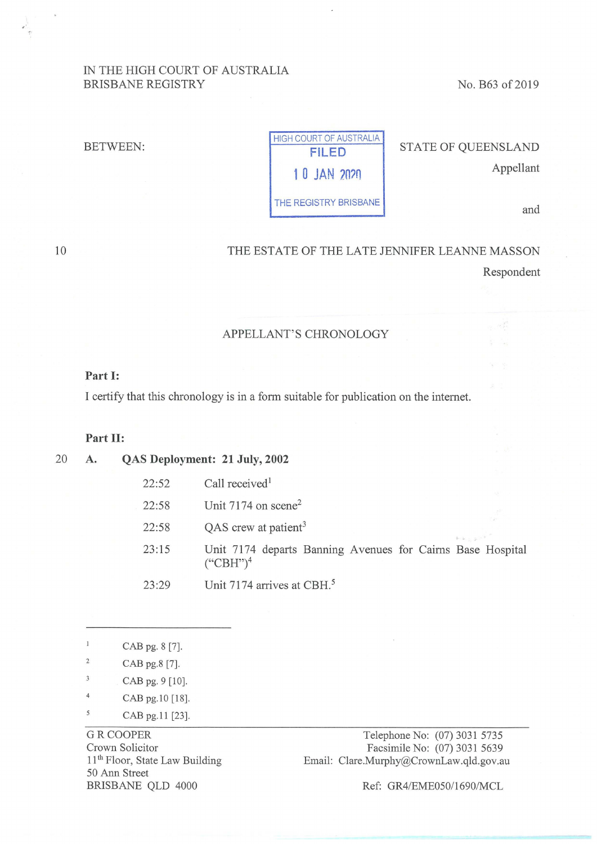## IN THE HIGH COURT OF AUSTRALIA BRISBANE REGISTRY No. B63 of 2019

#### BETWEEN:

HIGH COURT OF AUSTRALIA THE REGISTRY BRISBANE **and** 

**FILED** STATE OF QUEENSLAND **1 0 JAN 2020 Appellant** 

#### 10

THE ESTATE OF THE LATE JENNIFER LEANNE MASSON Respondent

## APPELLANT'S CHRONOLOGY

### **Part I:**

I certify that this chronology is in a form suitable for publication on the internet.

### **Part II:**

20 **A. QAS Deployment: 21 July, 2002** 

- 
- $22:52$  Call received<sup>1</sup>
- 22:58 Unit 7174 on scene<sup>2</sup>
- 22:58 QAS crew at patient<sup>3</sup>
- 23 :15 Unit 7174 departs Banning Avenues for Cairns Base Hospital  $({}^\circ{\rm CBH}^{\cdot\cdot})^4$
- 23:29 Unit 7174 arrives at CBH.<sup>5</sup>
- CAB pg. 8 [7].
- $\overline{2}$ CAB pg.8 [7].
- $\overline{3}$ CAB pg. 9 [10].
- 4 CAB pg.10 [18].
- <sup>5</sup> CAB pg.11 [23].

GR COOPER Crown Solicitor 11<sup>th</sup> Floor, State Law Building 50 Ann Street BRISBANE QLD 4000

Telephone No: (07) 3031 5735 Facsimile No: (07) 3031 5639 Email: Clare.Murphy@CrownLaw.qld.gov.au

Ref: GR4/EME050/1690/MCL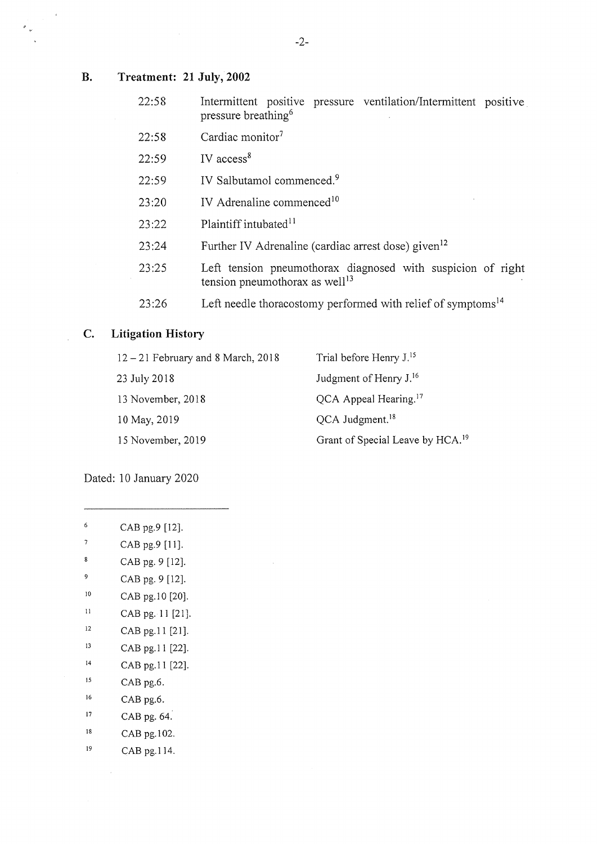# **B. Treatment: 21 July, 2002**

 $\epsilon$ 

 $\frac{\rho}{\rho}$ 

| 22:58 | Intermittent positive pressure ventilation/Intermittent positive<br>pressure breathing <sup>6</sup>       |
|-------|-----------------------------------------------------------------------------------------------------------|
| 22:58 | Cardiac monitor <sup>7</sup>                                                                              |
| 22:59 | IV $access8$                                                                                              |
| 22:59 | IV Salbutamol commenced. <sup>9</sup>                                                                     |
| 23:20 | IV Adrenaline commenced <sup>10</sup>                                                                     |
| 23:22 | Plaintiff intubated <sup>11</sup>                                                                         |
| 23:24 | Further IV Adrenaline (cardiac arrest dose) given <sup>12</sup>                                           |
| 23:25 | Left tension pneumothorax diagnosed with suspicion of right<br>tension pneumothorax as well <sup>13</sup> |
| 23:26 | Left needle thoracostomy performed with relief of symptoms <sup>14</sup>                                  |

## **C. Litigation History**

| $12 - 21$ February and 8 March, 2018 | Trial before Henry J. <sup>15</sup>          |
|--------------------------------------|----------------------------------------------|
| 23 July 2018                         | Judgment of Henry J. <sup>16</sup>           |
| 13 November, 2018                    | QCA Appeal Hearing. <sup>17</sup>            |
| 10 May, 2019                         | QCA Judgment. <sup>18</sup>                  |
| 15 November, 2019                    | Grant of Special Leave by HCA. <sup>19</sup> |

Dated: 10 January 2020

- 6 CAB pg.9 [12].
- 7 CAB pg.9 [11].
- $\bf 8$ CAB pg. 9 [12].
- 9 CAB pg. 9 [12].
- <sup>10</sup> CAB pg. 10 [20].
- <sup>11</sup> CAB pg. 11 [21].
- <sup>12</sup> CAB pg.11 [21].
- 13 CAB pg.11 [22].
- 14 CAB pg.I I [22].
- 15 CAB pg.6.
- 16 CAB pg.6.
- 17 CAB pg. 64.
- 18 CAB pg.102.
- 19 CAB pg.114.

 $\bar{z}$